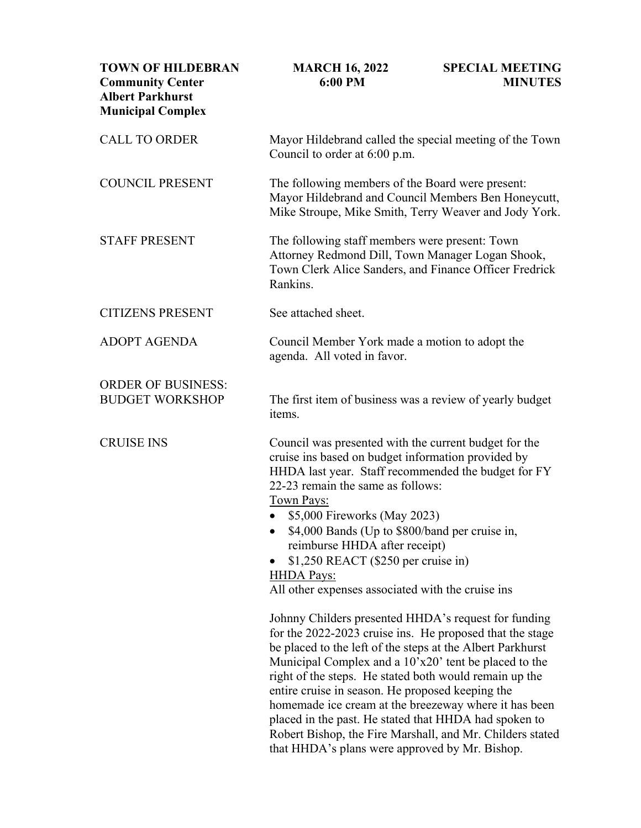| <b>TOWN OF HILDEBRAN</b><br><b>Community Center</b><br><b>Albert Parkhurst</b><br><b>Municipal Complex</b> | <b>MARCH 16, 2022</b><br>6:00 PM                                                                                                                                                                                                                                                                                                                                                                                                                                                                                                                                                       | <b>SPECIAL MEETING</b><br><b>MINUTES</b> |
|------------------------------------------------------------------------------------------------------------|----------------------------------------------------------------------------------------------------------------------------------------------------------------------------------------------------------------------------------------------------------------------------------------------------------------------------------------------------------------------------------------------------------------------------------------------------------------------------------------------------------------------------------------------------------------------------------------|------------------------------------------|
| <b>CALL TO ORDER</b>                                                                                       | Mayor Hildebrand called the special meeting of the Town<br>Council to order at 6:00 p.m.                                                                                                                                                                                                                                                                                                                                                                                                                                                                                               |                                          |
| <b>COUNCIL PRESENT</b>                                                                                     | The following members of the Board were present:<br>Mayor Hildebrand and Council Members Ben Honeycutt,<br>Mike Stroupe, Mike Smith, Terry Weaver and Jody York.                                                                                                                                                                                                                                                                                                                                                                                                                       |                                          |
| <b>STAFF PRESENT</b>                                                                                       | The following staff members were present: Town<br>Attorney Redmond Dill, Town Manager Logan Shook,<br>Town Clerk Alice Sanders, and Finance Officer Fredrick<br>Rankins.                                                                                                                                                                                                                                                                                                                                                                                                               |                                          |
| <b>CITIZENS PRESENT</b>                                                                                    | See attached sheet.                                                                                                                                                                                                                                                                                                                                                                                                                                                                                                                                                                    |                                          |
| <b>ADOPT AGENDA</b>                                                                                        | Council Member York made a motion to adopt the<br>agenda. All voted in favor.                                                                                                                                                                                                                                                                                                                                                                                                                                                                                                          |                                          |
| <b>ORDER OF BUSINESS:</b><br><b>BUDGET WORKSHOP</b>                                                        | The first item of business was a review of yearly budget<br>items.                                                                                                                                                                                                                                                                                                                                                                                                                                                                                                                     |                                          |
| <b>CRUISE INS</b>                                                                                          | Council was presented with the current budget for the<br>cruise ins based on budget information provided by<br>HHDA last year. Staff recommended the budget for FY<br>22-23 remain the same as follows:<br><b>Town Pays:</b><br>\$5,000 Fireworks (May 2023)<br>\$4,000 Bands (Up to \$800/band per cruise in,<br>reimburse HHDA after receipt)<br>$$1,250$ REACT (\$250 per cruise in)<br><b>HHDA Pays:</b><br>All other expenses associated with the cruise ins                                                                                                                      |                                          |
|                                                                                                            | Johnny Childers presented HHDA's request for funding<br>for the 2022-2023 cruise ins. He proposed that the stage<br>be placed to the left of the steps at the Albert Parkhurst<br>Municipal Complex and a 10'x20' tent be placed to the<br>right of the steps. He stated both would remain up the<br>entire cruise in season. He proposed keeping the<br>homemade ice cream at the breezeway where it has been<br>placed in the past. He stated that HHDA had spoken to<br>Robert Bishop, the Fire Marshall, and Mr. Childers stated<br>that HHDA's plans were approved by Mr. Bishop. |                                          |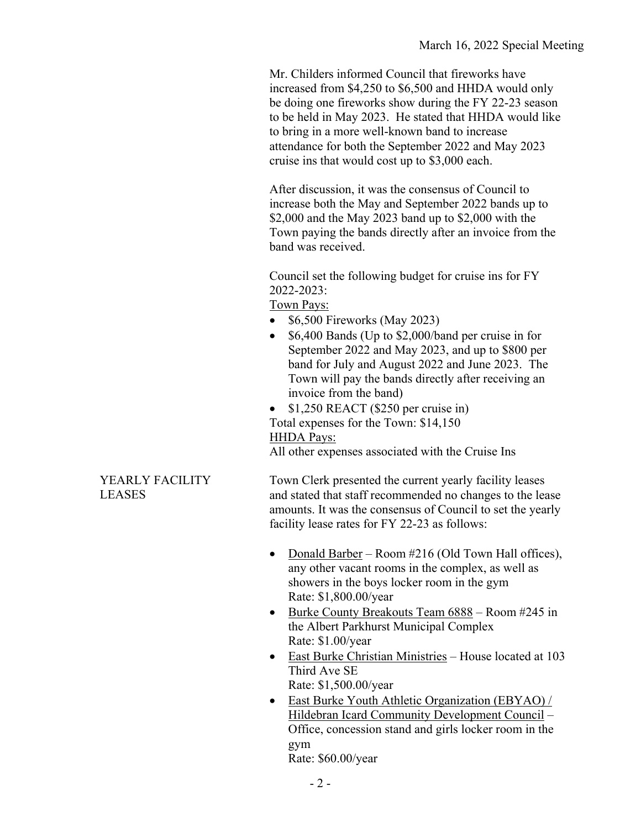Mr. Childers informed Council that fireworks have increased from \$4,250 to \$6,500 and HHDA would only be doing one fireworks show during the FY 22-23 season to be held in May 2023. He stated that HHDA would like to bring in a more well-known band to increase attendance for both the September 2022 and May 2023 cruise ins that would cost up to \$3,000 each.

After discussion, it was the consensus of Council to increase both the May and September 2022 bands up to \$2,000 and the May 2023 band up to \$2,000 with the Town paying the bands directly after an invoice from the band was received.

Council set the following budget for cruise ins for FY 2022-2023:

# Town Pays:

- \$6,500 Fireworks (May 2023)
- \$6,400 Bands (Up to \$2,000/band per cruise in for September 2022 and May 2023, and up to \$800 per band for July and August 2022 and June 2023. The Town will pay the bands directly after receiving an invoice from the band)
- \$1,250 REACT (\$250 per cruise in) Total expenses for the Town: \$14,150

#### HHDA Pays:

All other expenses associated with the Cruise Ins

Town Clerk presented the current yearly facility leases and stated that staff recommended no changes to the lease amounts. It was the consensus of Council to set the yearly facility lease rates for FY 22-23 as follows:

- Donald Barber Room #216 (Old Town Hall offices), any other vacant rooms in the complex, as well as showers in the boys locker room in the gym Rate: \$1,800.00/year
- Burke County Breakouts Team 6888 Room #245 in the Albert Parkhurst Municipal Complex Rate: \$1.00/year
- East Burke Christian Ministries House located at 103 Third Ave SE Rate: \$1,500.00/year
- East Burke Youth Athletic Organization (EBYAO) / Hildebran Icard Community Development Council – Office, concession stand and girls locker room in the gym Rate: \$60.00/year

### YEARLY FACILITY LEASES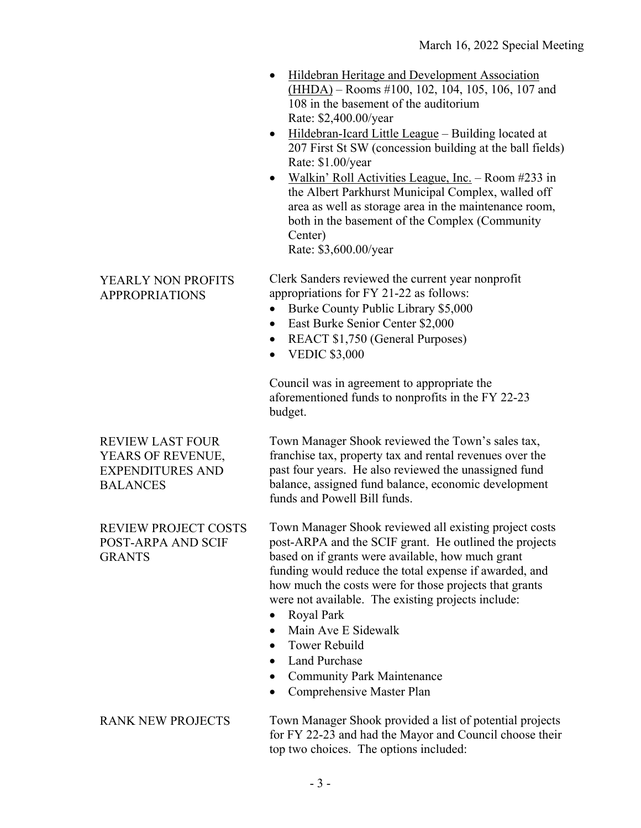- Hildebran Heritage and Development Association (HHDA) – Rooms #100, 102, 104, 105, 106, 107 and 108 in the basement of the auditorium Rate: \$2,400.00/year
- Hildebran-Icard Little League Building located at 207 First St SW (concession building at the ball fields) Rate: \$1.00/year
- Walkin' Roll Activities League, Inc. Room #233 in the Albert Parkhurst Municipal Complex, walled off area as well as storage area in the maintenance room, both in the basement of the Complex (Community Center)

Rate: \$3,600.00/year

## YEARLY NON PROFITS APPROPRIATIONS

Clerk Sanders reviewed the current year nonprofit appropriations for FY 21-22 as follows:

- Burke County Public Library \$5,000
- East Burke Senior Center \$2,000
- REACT \$1,750 (General Purposes)
- VEDIC \$3,000

Council was in agreement to appropriate the aforementioned funds to nonprofits in the FY 22-23 budget.

REVIEW LAST FOUR YEARS OF REVENUE, EXPENDITURES AND BALANCES

REVIEW PROJECT COSTS POST-ARPA AND SCIF GRANTS

Town Manager Shook reviewed the Town's sales tax, franchise tax, property tax and rental revenues over the past four years. He also reviewed the unassigned fund balance, assigned fund balance, economic development funds and Powell Bill funds.

Town Manager Shook reviewed all existing project costs post-ARPA and the SCIF grant. He outlined the projects based on if grants were available, how much grant funding would reduce the total expense if awarded, and how much the costs were for those projects that grants were not available. The existing projects include:

- Royal Park
- Main Ave E Sidewalk
- Tower Rebuild
- Land Purchase
- Community Park Maintenance
- Comprehensive Master Plan

RANK NEW PROJECTS

Town Manager Shook provided a list of potential projects for FY 22-23 and had the Mayor and Council choose their top two choices. The options included: